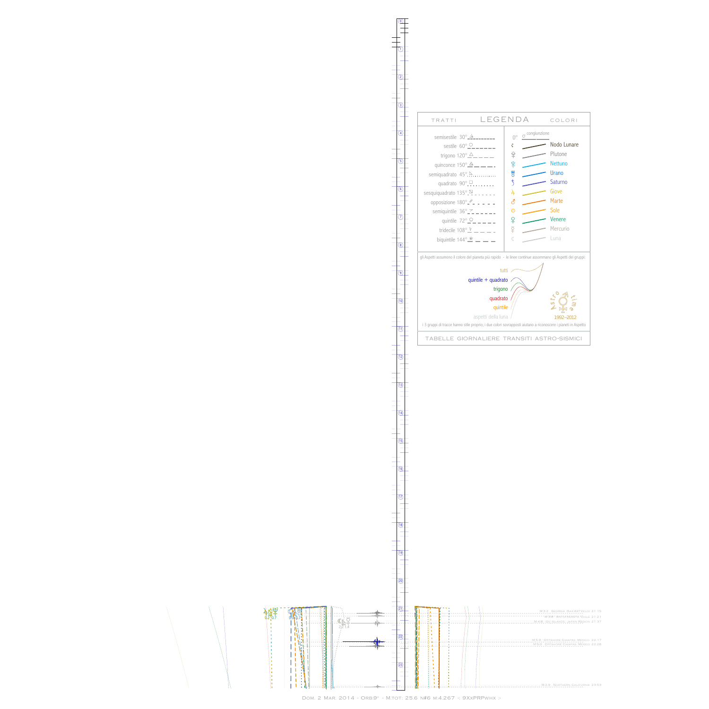## 术可大 ቲ<u>ነ።</u><br>0.2 -0.7  $\mathbf{r}$ î, ï  $\bar{\phantom{a}}$ ń ń þ

þ  $\bar{\phantom{a}}$  $\bar{\phantom{a}}$ j, j, h h,